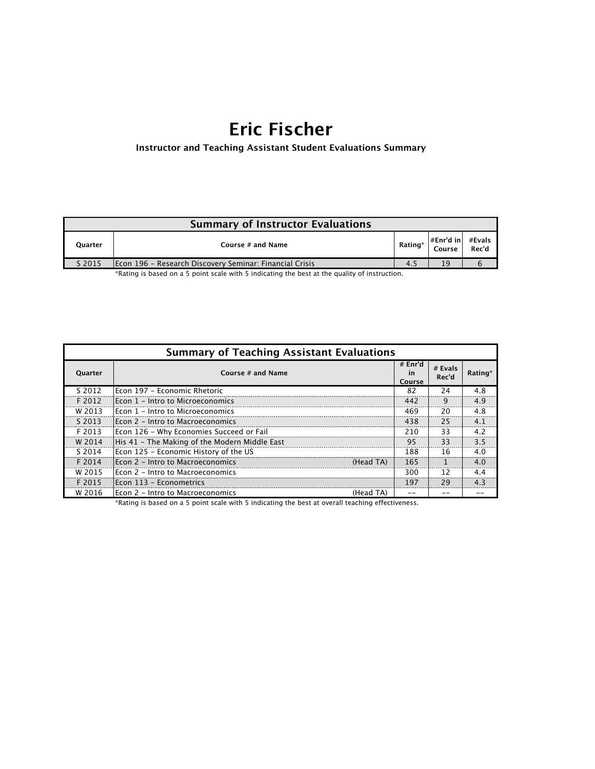# **Eric Fischer**

**Instructor and Teaching Assistant Student Evaluations Summary**

| <b>Summary of Instructor Evaluations</b>                                                                   |                                                         |         |                                                                      |  |
|------------------------------------------------------------------------------------------------------------|---------------------------------------------------------|---------|----------------------------------------------------------------------|--|
| <b>Ouarter</b>                                                                                             | Course # and Name                                       | Rating* | $\begin{vmatrix} #Enr'd in & #Evals \\ Course & Rec'd \end{vmatrix}$ |  |
| S 2015                                                                                                     | Econ 196 - Research Discovery Seminar: Financial Crisis | 4.5     | 19                                                                   |  |
| *Boation to bood on a F institut scole initial F to discation aborteries analysisme that of tiesministicia |                                                         |         |                                                                      |  |

\*Rating is based on a 5 point scale with 5 indicating the best at the quality of instruction.

| <b>Summary of Teaching Assistant Evaluations</b> |                                                |                         |                  |         |  |
|--------------------------------------------------|------------------------------------------------|-------------------------|------------------|---------|--|
| Quarter                                          | Course # and Name                              | # Enr'd<br>in<br>Course | # Evals<br>Rec'd | Rating* |  |
| S 2012                                           | lEcon 197 – Economic Rhetoric                  | 82                      | 24               | 4.8     |  |
| F 2012                                           | lEcon 1 - Intro to Microeconomics              | 442                     | 9                | 4.9     |  |
| W 2013                                           | Econ 1 - Intro to Microeconomics               | 469                     | 20               | 4.8     |  |
| S 2013                                           | Econ 2 - Intro to Macroeconomics               | 438                     | 25               | 4.1     |  |
| F 2013                                           | Econ 126 - Why Economies Succeed or Fail       | 210                     | 33               | 4.2     |  |
| W 2014                                           | His 41 - The Making of the Modern Middle East  | 95                      | 33               | 3.5     |  |
| S 2014                                           | Econ 125 - Economic History of the US          | 188                     | 16               | 4.0     |  |
| F 2014                                           | lEcon 2 - Intro to Macroeconomics<br>(Head TA) | 165                     |                  | 4.0     |  |
| W 2015                                           | IEcon 2 - Intro to Macroeconomics              | 300                     | 12               | 4.4     |  |
| F 2015                                           | Econ 113 - Econometrics                        | 197                     | 29               | 4.3     |  |
| W 2016                                           | lEcon 2 - Intro to Macroeconomics<br>(Head TA) |                         |                  |         |  |

\*Rating is based on a 5 point scale with 5 indicating the best at overall teaching effectiveness.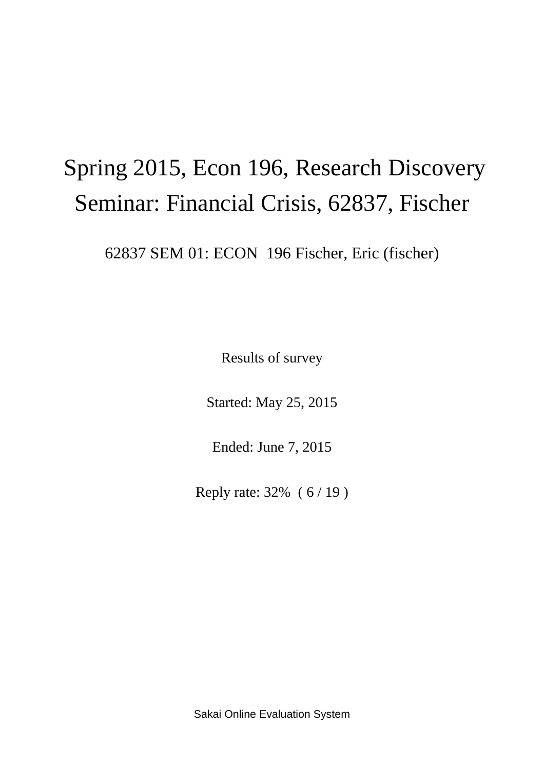# Spring 2015, Econ 196, Research Discovery Seminar: Financial Crisis, 62837, Fischer

62837 SEM 01: ECON 196 Fischer, Eric (fischer)

Results of survey

Started: May 25, 2015

Ended: June 7, 2015

Reply rate: 32% ( 6 / 19 )

Sakai Online Evaluation System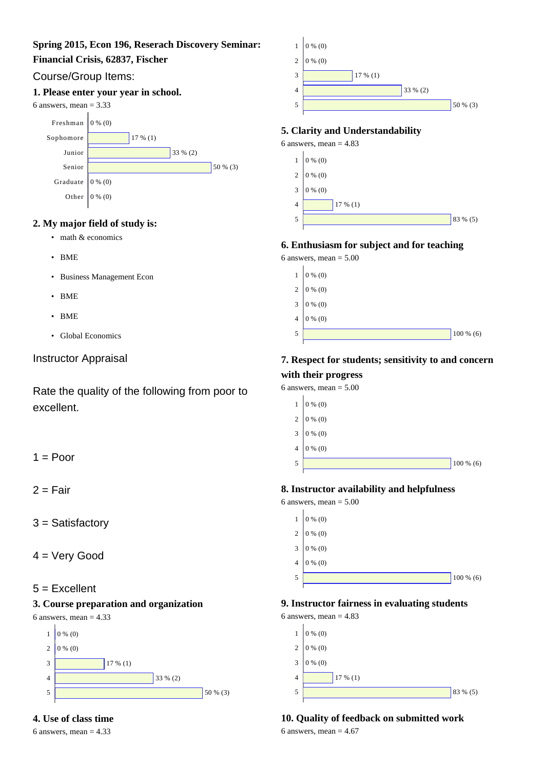### **Spring 2015, Econ 196, Reserach Discovery Seminar:**

#### **Financial Crisis, 62837, Fischer**

# Course/Group Items:

#### **1. Please enter your year in school.**

#### 6 answers, mean  $= 3.33$



# **2. My major field of study is:**

- math & economics
- BME
- Business Management Econ
- BME
- BME
- Global Economics

# Instructor Appraisal

Rate the quality of the following from poor to excellent.

 $1 =$  Poor

 $2 =$ Fair

3 = Satisfactory

4 = Very Good

# 5 = Excellent

# **3. Course preparation and organization**







6 answers, mean  $= 4.33$ 



#### **5. Clarity and Understandability**

6 answers, mean  $= 4.83$ 



#### **6. Enthusiasm for subject and for teaching**

6 answers, mean  $= 5.00$ 



# **7. Respect for students; sensitivity to and concern with their progress**

6 answers, mean  $= 5.00$ 



#### **8. Instructor availability and helpfulness**

 $6$  answers, mean =  $5.00$ 



# **9. Instructor fairness in evaluating students**

6 answers, mean  $= 4.83$ 

| $\mathbf{1}$   | $0\%$ (0)  |
|----------------|------------|
| $\overline{2}$ | $0\%$ (0)  |
| 3              | $0\%$ (0)  |
| 4              | $17\%$ (1) |
| 5              | $83\%$ (5) |
|                |            |

# **10. Quality of feedback on submitted work**

6 answers, mean  $= 4.67$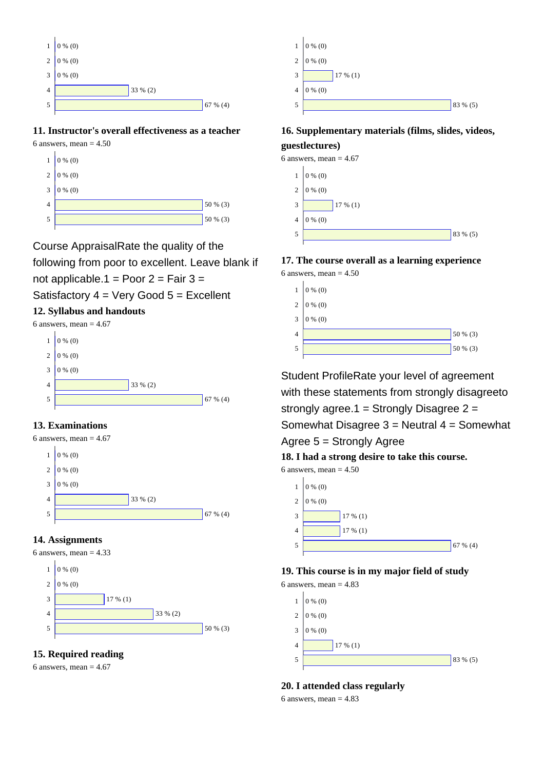

### **11. Instructor's overall effectiveness as a teacher**

6 answers, mean  $= 4.50$ 



Course AppraisalRate the quality of the following from poor to excellent. Leave blank if

not applicable.1 = Poor  $2 = \text{Fair } 3 =$ 

Satisfactory  $4 = \text{Very Good } 5 = \text{Excellent}$ 

# **12. Syllabus and handouts**

6 answers, mean  $= 4.67$ 

 $1 \mid 0 \% (0)$  $2 \mid 0 \% (0)$ 3 4 5  $0 \frac{6}{10}$  (0) 33 % (2) 67 % (4)

# **13. Examinations**

6 answers, mean  $= 4.67$ 



#### **14. Assignments**

6 answers, mean  $= 4.33$ 



# **15. Required reading**

6 answers, mean  $= 4.67$ 



# **16. Supplementary materials (films, slides, videos, guestlectures)**

6 answers, mean  $= 4.67$ 



#### **17. The course overall as a learning experience**  $6$  answers, mean =  $4.50$



Student ProfileRate your level of agreement with these statements from strongly disagreeto strongly agree.1 = Strongly Disagree  $2 =$ Somewhat Disagree 3 = Neutral 4 = Somewhat

Agree 5 = Strongly Agree

**18. I had a strong desire to take this course.**

6 answers, mean  $= 4.50$ 



# **19. This course is in my major field of study**

6 answers, mean  $= 4.83$ 



**20. I attended class regularly**

6 answers, mean  $= 4.83$